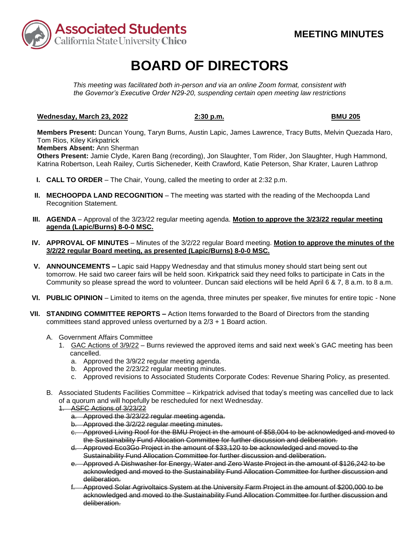

# **BOARD OF DIRECTORS**

*This meeting was facilitated both in-person and via an online Zoom format, consistent with the Governor's Executive Order N29-20, suspending certain open meeting law restrictions* 

## **Wednesday, March 23, 2022 2:30 p.m. 2:30 p.m.** BMU 205

**Members Present:** Duncan Young, Taryn Burns, Austin Lapic, James Lawrence, Tracy Butts, Melvin Quezada Haro, Tom Rios, Kiley Kirkpatrick

**Members Absent:** Ann Sherman

**Others Present:** Jamie Clyde, Karen Bang (recording), Jon Slaughter, Tom Rider, Jon Slaughter, Hugh Hammond, Katrina Robertson, Leah Railey, Curtis Sicheneder, Keith Crawford, Katie Peterson, Shar Krater, Lauren Lathrop

- **I. CALL TO ORDER**  The Chair, Young, called the meeting to order at 2:32 p.m.
- **II. MECHOOPDA LAND RECOGNITION** The meeting was started with the reading of the Mechoopda Land Recognition Statement.
- **III. AGENDA**  Approval of the 3/23/22 regular meeting agenda. **Motion to approve the 3/23/22 regular meeting agenda (Lapic/Burns) 8-0-0 MSC.**
- **IV. APPROVAL OF MINUTES**  Minutes of the 3/2/22 regular Board meeting. **Motion to approve the minutes of the 3/2/22 regular Board meeting, as presented (Lapic/Burns) 8-0-0 MSC.**
- Community so please spread the word to volunteer. Duncan said elections will be held April 6 & 7, 8 a.m. to 8 a.m. **V. ANNOUNCEMENTS –** Lapic said Happy Wednesday and that stimulus money should start being sent out tomorrow. He said two career fairs will be held soon. Kirkpatrick said they need folks to participate in Cats in the
- **VI. PUBLIC OPINION**  Limited to items on the agenda, three minutes per speaker, five minutes for entire topic None
- **VII. STANDING COMMITTEE REPORTS –** Action Items forwarded to the Board of Directors from the standing committees stand approved unless overturned by a 2/3 + 1 Board action.
	- A. Government Affairs Committee
		- 1. GAC Actions of 3/9/22 Burns reviewed the approved items and said next week's GAC meeting has been cancelled.
			- a. Approved the 3/9/22 regular meeting agenda.
			- b. Approved the 2/23/22 regular meeting minutes.
			- c. Approved revisions to Associated Students Corporate Codes: Revenue Sharing Policy, as presented.
	- of a quorum and will hopefully be rescheduled for next Wednesday.<br>1. ASFC Actions of 3/23/22<br>a. Approved the 3/23/22 regular meeting agenda. B. Associated Students Facilities Committee – Kirkpatrick advised that today's meeting was cancelled due to lack

1. ASFC Actions of 3/23/22

- 
- b. Approved the 3/2/22 regular meeting minutes.
- c. Approved Living Roof for the BMU Project in the amount of \$58,004 to be acknowledged and moved to the Sustainability Fund Allocation Committee for further discussion and deliberation.
- d. Approved Eco3Go Project in the amount of \$33,120 to be acknowledged and moved to the Sustainability Fund Allocation Committee for further discussion and deliberation.
- e. Approved A Dishwasher for Energy, Water and Zero Waste Project in the amount of \$126,242 to be acknowledged and moved to the Sustainability Fund Allocation Committee for further discussion and deliberation.
- f. Approved Solar Agrivoltaics System at the University Farm Project in the amount of \$200,000 to be acknowledged and moved to the Sustainability Fund Allocation Committee for further discussion and deliberation.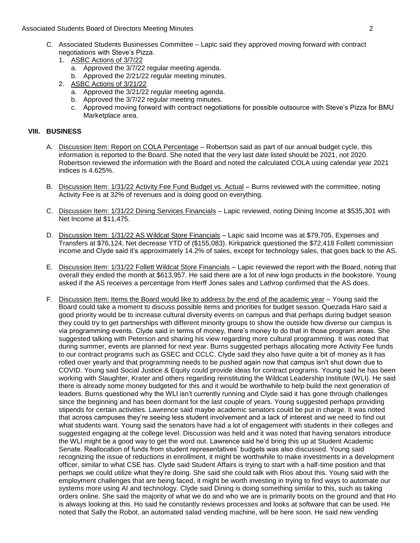- negotiations with Steve's Pizza. C. Associated Students Businesses Committee – Lapic said they approved moving forward with contract
	- 1. ASBC Actions of 3/7/22
		- a. Approved the 3/7/22 regular meeting agenda.
		- b. Approved the 2/21/22 regular meeting minutes.
	- 2. ASBC Actions of 3/21/22
		- a. Approved the 3/21/22 regular meeting agenda.
		- b. Approved the 3/7/22 regular meeting minutes.
		- c. Approved moving forward with contract negotiations for possible outsource with Steve's Pizza for BMU Marketplace area.

## **VIII. BUSINESS**

- information is reported to the Board. She noted that the very last date listed should be 2021, not 2020. Robertson reviewed the information with the Board and noted the calculated COLA using calendar year 2021 A. Discussion Item: Report on COLA Percentage - Robertson said as part of our annual budget cycle, this indices is 4.625%.
- B. Discussion Item: 1/31/22 Activity Fee Fund Budget vs. Actual Burns reviewed with the committee, noting Activity Fee is at 32% of revenues and is doing good on everything.
- C. Discussion Item: 1/31/22 Dining Services Financials Lapic reviewed, noting Dining Income at \$535,301 with Net Income at \$11,475.
- D. Discussion Item: 1/31/22 AS Wildcat Store Financials Lapic said Income was at \$79,705, Expenses and Transfers at \$76,124, Net decrease YTD of (\$155,083). Kirkpatrick questioned the \$72,418 Follett commission income and Clyde said it's approximately 14.2% of sales, except for technology sales, that goes back to the AS.
- E. Discussion Item: 1/31/22 Follett Wildcat Store Financials Lapic reviewed the report with the Board, noting that overall they ended the month at \$613,957. He said there are a lot of new logo products in the bookstore. Young asked if the AS receives a percentage from Herff Jones sales and Lathrop confirmed that the AS does.
- to our contract programs such as GSEC and CCLC. Clyde said they also have quite a bit of money as it has COVID. Young said Social Justice & Equity could provide ideas for contract programs. Young said he has been leaders. Burns questioned why the WLI isn't currently running and Clyde said it has gone through challenges suggested engaging at the college level. Discussion was held and it was noted that having senators introduce is always looking at this. Ho said he constantly reviews processes and looks at software that can be used. He noted that Sally the Robot, an automated salad vending machine, will be here soon. He said new vending F. Discussion Item: Items the Board would like to address by the end of the academic year – Young said the Board could take a moment to discuss possible items and priorities for budget season. Quezada Haro said a good priority would be to increase cultural diversity events on campus and that perhaps during budget season they could try to get partnerships with different minority groups to show the outside how diverse our campus is via programming events. Clyde said in terms of money, there's money to do that in those program areas. She suggested talking with Peterson and sharing his view regarding more cultural programming. It was noted that during summer, events are planned for next year. Burns suggested perhaps allocating more Activity Fee funds rolled over yearly and that programming needs to be pushed again now that campus isn't shut down due to working with Slaughter, Krater and others regarding reinstituting the Wildcat Leadership Institute (WLI). He said there is already some money budgeted for this and it would be worthwhile to help build the next generation of since the beginning and has been dormant for the last couple of years. Young suggested perhaps providing stipends for certain activities. Lawrence said maybe academic senators could be put in charge. It was noted that across campuses they're seeing less student involvement and a lack of interest and we need to find out what students want. Young said the senators have had a lot of engagement with students in their colleges and the WLI might be a good way to get the word out. Lawrence said he'd bring this up at Student Academic Senate. Reallocation of funds from student representatives' budgets was also discussed. Young said recognizing the issue of reductions in enrollment, it might be worthwhile to make investments in a development officer, similar to what CSE has. Clyde said Student Affairs is trying to start with a half-time position and that perhaps we could utilize what they're doing. She said she could talk with Rios about this. Young said with the employment challenges that are being faced, it might be worth investing in trying to find ways to automate our systems more using AI and technology. Clyde said Dining is doing something similar to this, such as taking orders online. She said the majority of what we do and who we are is primarily boots on the ground and that Ho